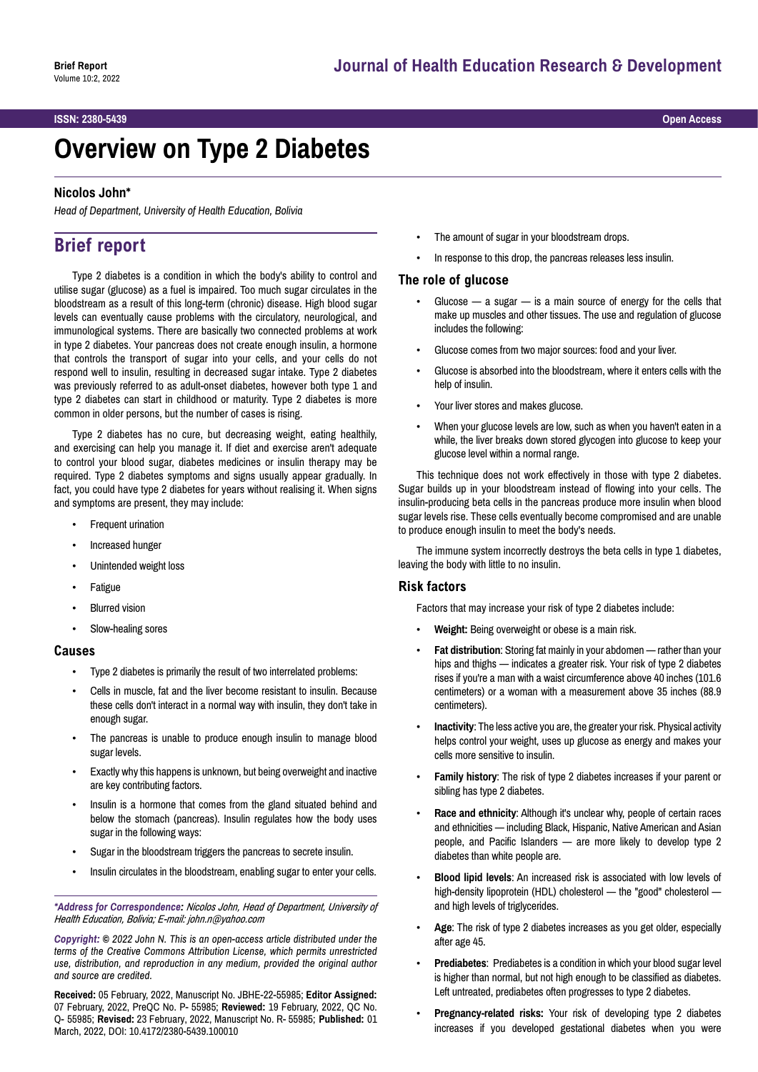#### **ISSN: 2380-5439 Open Access**

# **Overview on Type 2 Diabetes**

#### **Nicolos John\***

*Head of Department, University of Health Education, Bolivia*

## **Brief report**

Type 2 diabetes is a condition in which the body's ability to control and utilise sugar (glucose) as a fuel is impaired. Too much sugar circulates in the bloodstream as a result of this long-term (chronic) disease. High blood sugar levels can eventually cause problems with the circulatory, neurological, and immunological systems. There are basically two connected problems at work in type 2 diabetes. Your pancreas does not create enough insulin, a hormone that controls the transport of sugar into your cells, and your cells do not respond well to insulin, resulting in decreased sugar intake. Type 2 diabetes was previously referred to as adult-onset diabetes, however both type 1 and type 2 diabetes can start in childhood or maturity. Type 2 diabetes is more common in older persons, but the number of cases is rising.

Type 2 diabetes has no cure, but decreasing weight, eating healthily, and exercising can help you manage it. If diet and exercise aren't adequate to control your blood sugar, diabetes medicines or insulin therapy may be required. Type 2 diabetes symptoms and signs usually appear gradually. In fact, you could have type 2 diabetes for years without realising it. When signs and symptoms are present, they may include:

- Frequent urination
- Increased hunger
- Unintended weight loss
- **Fatigue**
- Blurred vision
- Slow-healing sores

#### **Causes**

- Type 2 diabetes is primarily the result of two interrelated problems:
- Cells in muscle, fat and the liver become resistant to insulin. Because these cells don't interact in a normal way with insulin, they don't take in enough sugar.
- The pancreas is unable to produce enough insulin to manage blood sugar levels.
- Exactly why this happens is unknown, but being overweight and inactive are key contributing factors.
- Insulin is a hormone that comes from the gland situated behind and below the stomach (pancreas). Insulin regulates how the body uses sugar in the following ways:
- Sugar in the bloodstream triggers the pancreas to secrete insulin.
- Insulin circulates in the bloodstream, enabling sugar to enter your cells.

*\*Address for Correspondence: Nicolos John, Head of Department, University of Health Education, Bolivia; E-mail: [john.n@yahoo.com](mailto:john.n@yahoo.com)*

*Copyright: © 2022 John N. This is an open-access article distributed under the terms of the Creative Commons Attribution License, which permits unrestricted use, distribution, and reproduction in any medium, provided the original author and source are credited.*

**Received:** 05 February, 2022, Manuscript No. JBHE-22-55985; **Editor Assigned:** 07 February, 2022, PreQC No. P- 55985; **Reviewed:** 19 February, 2022, QC No. Q- 55985; **Revised:** 23 February, 2022, Manuscript No. R- 55985; **Published:** 01 March, 2022, DOI: 10.4172/2380-5439.100010

- The amount of sugar in your bloodstream drops.
- In response to this drop, the pancreas releases less insulin.

#### **The role of glucose**

- Glucose  $-$  a sugar  $-$  is a main source of energy for the cells that make up muscles and other tissues. The use and regulation of glucose includes the following:
- Glucose comes from two major sources: food and your liver.
- Glucose is absorbed into the bloodstream, where it enters cells with the help of insulin.
- Your liver stores and makes glucose.
- When your glucose levels are low, such as when you haven't eaten in a while, the liver breaks down stored glycogen into glucose to keep your glucose level within a normal range.

This technique does not work effectively in those with type 2 diabetes. Sugar builds up in your bloodstream instead of flowing into your cells. The insulin-producing beta cells in the pancreas produce more insulin when blood sugar levels rise. These cells eventually become compromised and are unable to produce enough insulin to meet the body's needs.

The immune system incorrectly destroys the beta cells in type 1 diabetes, leaving the body with little to no insulin.

#### **Risk factors**

Factors that may increase your risk of type 2 diabetes include:

- **Weight:** Being overweight or obese is a main risk.
- **Fat distribution**: Storing fat mainly in your abdomen rather than your hips and thighs — indicates a greater risk. Your risk of type 2 diabetes rises if you're a man with a waist circumference above 40 inches (101.6 centimeters) or a woman with a measurement above 35 inches (88.9 centimeters).
- **Inactivity**: The less active you are, the greater your risk. Physical activity helps control your weight, uses up glucose as energy and makes your cells more sensitive to insulin.
- **Family history**: The risk of type 2 diabetes increases if your parent or sibling has type 2 diabetes.
- **Race and ethnicity**: Although it's unclear why, people of certain races and ethnicities — including Black, Hispanic, Native American and Asian people, and Pacific Islanders — are more likely to develop type 2 diabetes than white people are.
- **Blood lipid levels**: An increased risk is associated with low levels of high-density lipoprotein (HDL) cholesterol — the "good" cholesterol and high levels of triglycerides.
- **Age**: The risk of type 2 diabetes increases as you get older, especially after age 45.
- **Prediabetes**: Prediabetes is a condition in which your blood sugar level is higher than normal, but not high enough to be classified as diabetes. Left untreated, prediabetes often progresses to type 2 diabetes.
- **Pregnancy-related risks:** Your risk of developing type 2 diabetes increases if you developed gestational diabetes when you were